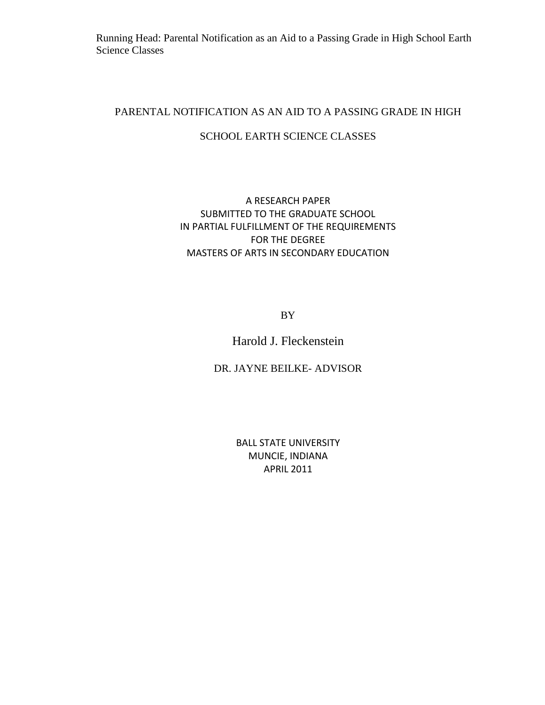Running Head: Parental Notification as an Aid to a Passing Grade in High School Earth Science Classes

### PARENTAL NOTIFICATION AS AN AID TO A PASSING GRADE IN HIGH

## SCHOOL EARTH SCIENCE CLASSES

## A RESEARCH PAPER SUBMITTED TO THE GRADUATE SCHOOL IN PARTIAL FULFILLMENT OF THE REQUIREMENTS FOR THE DEGREE MASTERS OF ARTS IN SECONDARY EDUCATION

BY

# Harold J. Fleckenstein

## DR. JAYNE BEILKE- ADVISOR

BALL STATE UNIVERSITY MUNCIE, INDIANA APRIL 2011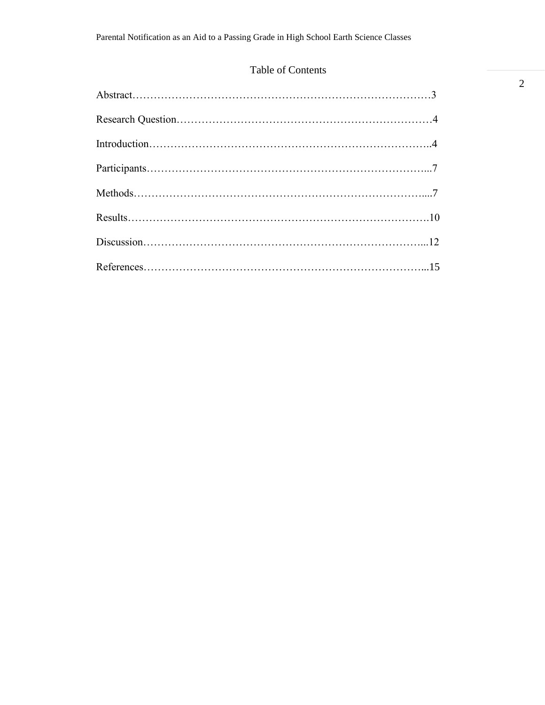# Table of Contents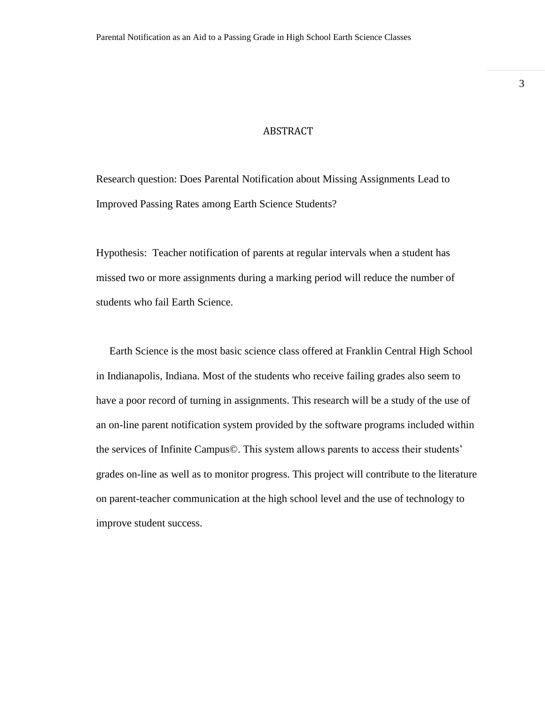#### ABSTRACT

Research question: Does Parental Notification about Missing Assignments Lead to Improved Passing Rates among Earth Science Students?

Hypothesis: Teacher notification of parents at regular intervals when a student has missed two or more assignments during a marking period will reduce the number of students who fail Earth Science.

 Earth Science is the most basic science class offered at Franklin Central High School in Indianapolis, Indiana. Most of the students who receive failing grades also seem to have a poor record of turning in assignments. This research will be a study of the use of an on-line parent notification system provided by the software programs included within the services of Infinite Campus©. This system allows parents to access their students' grades on-line as well as to monitor progress. This project will contribute to the literature on parent-teacher communication at the high school level and the use of technology to improve student success.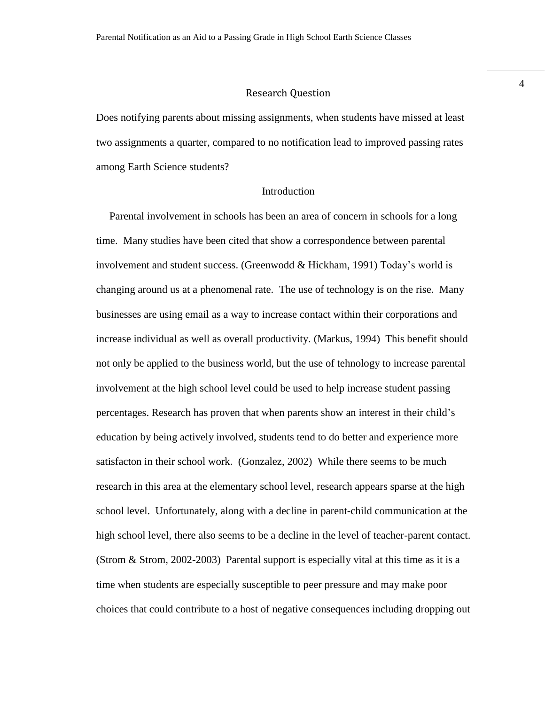#### Research Question

Does notifying parents about missing assignments, when students have missed at least two assignments a quarter, compared to no notification lead to improved passing rates among Earth Science students?

### Introduction

 Parental involvement in schools has been an area of concern in schools for a long time. Many studies have been cited that show a correspondence between parental involvement and student success. (Greenwodd  $& Hickham, 1991$ ) Today's world is changing around us at a phenomenal rate. The use of technology is on the rise. Many businesses are using email as a way to increase contact within their corporations and increase individual as well as overall productivity. (Markus, 1994) This benefit should not only be applied to the business world, but the use of tehnology to increase parental involvement at the high school level could be used to help increase student passing percentages. Research has proven that when parents show an interest in their child's education by being actively involved, students tend to do better and experience more satisfacton in their school work. (Gonzalez, 2002) While there seems to be much research in this area at the elementary school level, research appears sparse at the high school level. Unfortunately, along with a decline in parent-child communication at the high school level, there also seems to be a decline in the level of teacher-parent contact. (Strom & Strom, 2002-2003) Parental support is especially vital at this time as it is a time when students are especially susceptible to peer pressure and may make poor choices that could contribute to a host of negative consequences including dropping out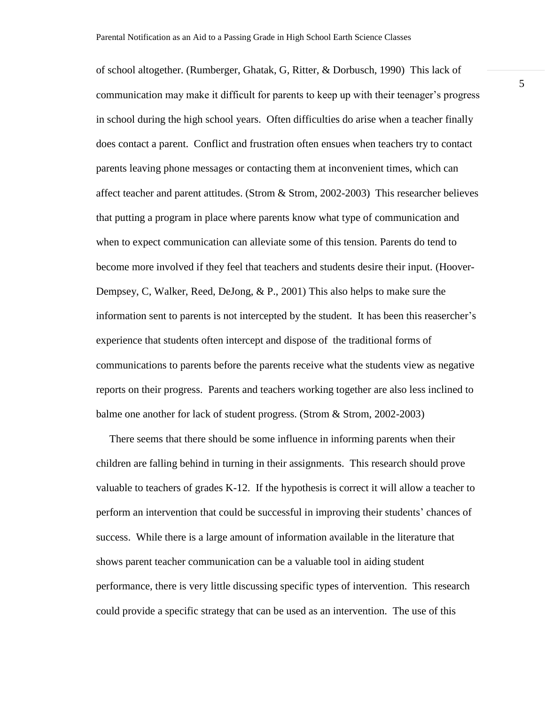of school altogether. (Rumberger, Ghatak, G, Ritter, & Dorbusch, 1990) This lack of communication may make it difficult for parents to keep up with their teenager's progress in school during the high school years. Often difficulties do arise when a teacher finally does contact a parent. Conflict and frustration often ensues when teachers try to contact parents leaving phone messages or contacting them at inconvenient times, which can affect teacher and parent attitudes. (Strom & Strom, 2002-2003) This researcher believes that putting a program in place where parents know what type of communication and when to expect communication can alleviate some of this tension. Parents do tend to become more involved if they feel that teachers and students desire their input. (Hoover-Dempsey, C, Walker, Reed, DeJong, & P., 2001) This also helps to make sure the information sent to parents is not intercepted by the student. It has been this reasercher's experience that students often intercept and dispose of the traditional forms of communications to parents before the parents receive what the students view as negative reports on their progress. Parents and teachers working together are also less inclined to balme one another for lack of student progress. (Strom & Strom, 2002-2003)

 There seems that there should be some influence in informing parents when their children are falling behind in turning in their assignments. This research should prove valuable to teachers of grades K-12. If the hypothesis is correct it will allow a teacher to perform an intervention that could be successful in improving their students' chances of success. While there is a large amount of information available in the literature that shows parent teacher communication can be a valuable tool in aiding student performance, there is very little discussing specific types of intervention. This research could provide a specific strategy that can be used as an intervention. The use of this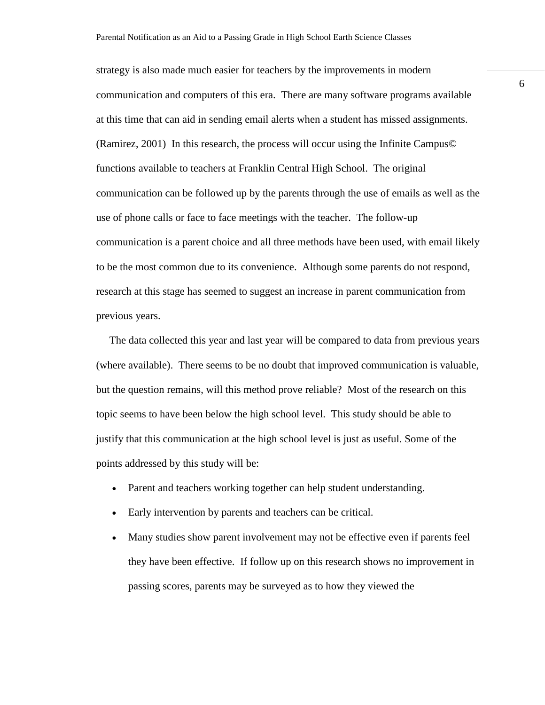strategy is also made much easier for teachers by the improvements in modern communication and computers of this era. There are many software programs available at this time that can aid in sending email alerts when a student has missed assignments. (Ramirez, 2001) In this research, the process will occur using the Infinite Campus© functions available to teachers at Franklin Central High School. The original communication can be followed up by the parents through the use of emails as well as the use of phone calls or face to face meetings with the teacher. The follow-up communication is a parent choice and all three methods have been used, with email likely to be the most common due to its convenience. Although some parents do not respond, research at this stage has seemed to suggest an increase in parent communication from previous years.

 The data collected this year and last year will be compared to data from previous years (where available). There seems to be no doubt that improved communication is valuable, but the question remains, will this method prove reliable? Most of the research on this topic seems to have been below the high school level. This study should be able to justify that this communication at the high school level is just as useful. Some of the points addressed by this study will be:

- Parent and teachers working together can help student understanding.
- Early intervention by parents and teachers can be critical.
- Many studies show parent involvement may not be effective even if parents feel they have been effective. If follow up on this research shows no improvement in passing scores, parents may be surveyed as to how they viewed the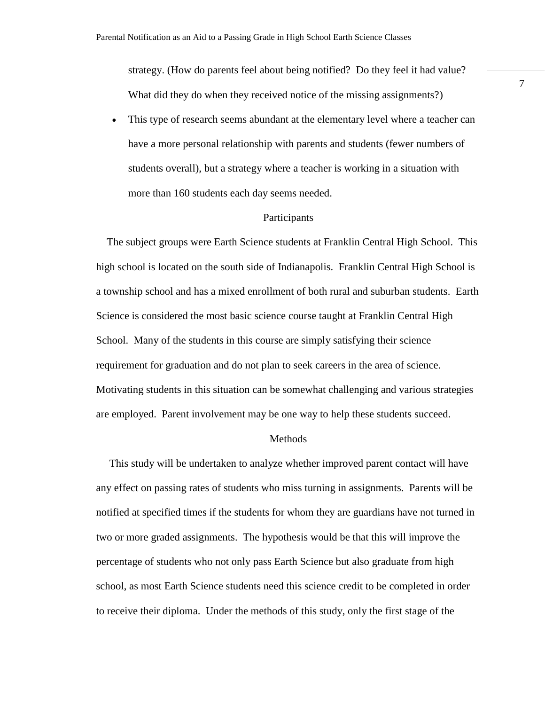strategy. (How do parents feel about being notified? Do they feel it had value? What did they do when they received notice of the missing assignments?)

 This type of research seems abundant at the elementary level where a teacher can have a more personal relationship with parents and students (fewer numbers of students overall), but a strategy where a teacher is working in a situation with more than 160 students each day seems needed.

#### **Participants**

 The subject groups were Earth Science students at Franklin Central High School. This high school is located on the south side of Indianapolis. Franklin Central High School is a township school and has a mixed enrollment of both rural and suburban students. Earth Science is considered the most basic science course taught at Franklin Central High School. Many of the students in this course are simply satisfying their science requirement for graduation and do not plan to seek careers in the area of science. Motivating students in this situation can be somewhat challenging and various strategies are employed. Parent involvement may be one way to help these students succeed.

#### Methods

 This study will be undertaken to analyze whether improved parent contact will have any effect on passing rates of students who miss turning in assignments. Parents will be notified at specified times if the students for whom they are guardians have not turned in two or more graded assignments. The hypothesis would be that this will improve the percentage of students who not only pass Earth Science but also graduate from high school, as most Earth Science students need this science credit to be completed in order to receive their diploma. Under the methods of this study, only the first stage of the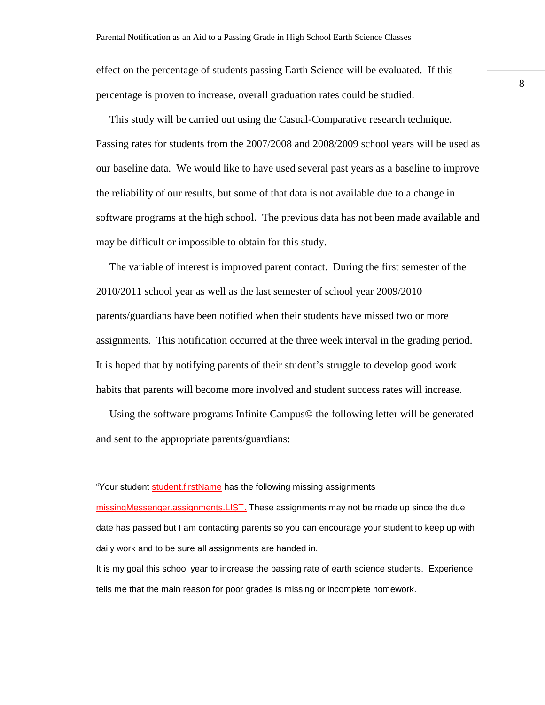effect on the percentage of students passing Earth Science will be evaluated. If this percentage is proven to increase, overall graduation rates could be studied.

 This study will be carried out using the Casual-Comparative research technique. Passing rates for students from the 2007/2008 and 2008/2009 school years will be used as our baseline data. We would like to have used several past years as a baseline to improve the reliability of our results, but some of that data is not available due to a change in software programs at the high school. The previous data has not been made available and may be difficult or impossible to obtain for this study.

 The variable of interest is improved parent contact. During the first semester of the 2010/2011 school year as well as the last semester of school year 2009/2010 parents/guardians have been notified when their students have missed two or more assignments. This notification occurred at the three week interval in the grading period. It is hoped that by notifying parents of their student's struggle to develop good work habits that parents will become more involved and student success rates will increase.

 Using the software programs Infinite Campus© the following letter will be generated and sent to the appropriate parents/guardians:

"Your student student.firstName has the following missing assignments missingMessenger.assignments.LIST. These assignments may not be made up since the due date has passed but I am contacting parents so you can encourage your student to keep up with daily work and to be sure all assignments are handed in.

It is my goal this school year to increase the passing rate of earth science students. Experience tells me that the main reason for poor grades is missing or incomplete homework.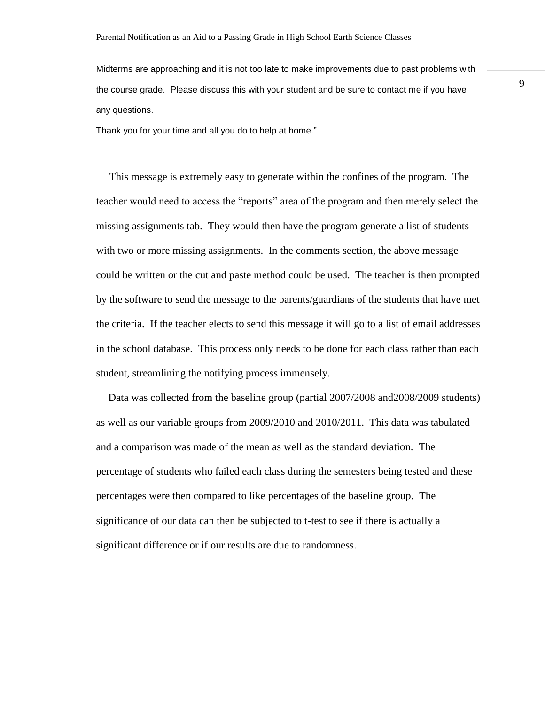Midterms are approaching and it is not too late to make improvements due to past problems with the course grade. Please discuss this with your student and be sure to contact me if you have any questions.

Thank you for your time and all you do to help at home."

 This message is extremely easy to generate within the confines of the program. The teacher would need to access the "reports" area of the program and then merely select the missing assignments tab. They would then have the program generate a list of students with two or more missing assignments. In the comments section, the above message could be written or the cut and paste method could be used. The teacher is then prompted by the software to send the message to the parents/guardians of the students that have met the criteria. If the teacher elects to send this message it will go to a list of email addresses in the school database. This process only needs to be done for each class rather than each student, streamlining the notifying process immensely.

 Data was collected from the baseline group (partial 2007/2008 and2008/2009 students) as well as our variable groups from 2009/2010 and 2010/2011. This data was tabulated and a comparison was made of the mean as well as the standard deviation. The percentage of students who failed each class during the semesters being tested and these percentages were then compared to like percentages of the baseline group. The significance of our data can then be subjected to t-test to see if there is actually a significant difference or if our results are due to randomness.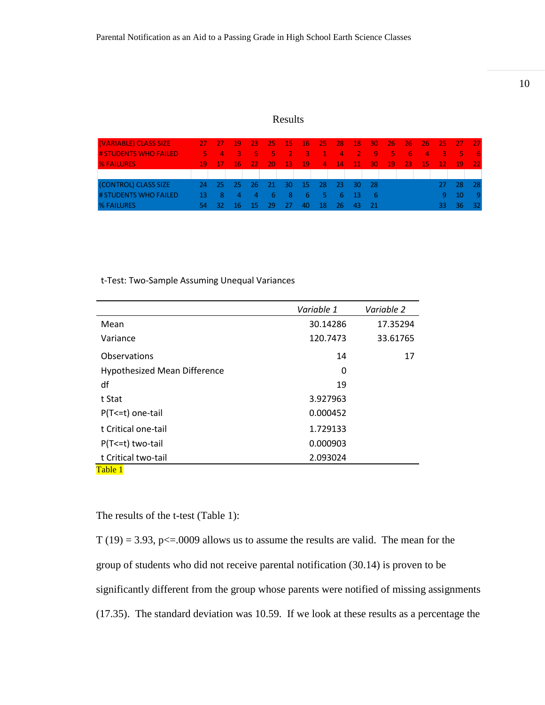### Results

| (VARIABLE) CLASS SIZE        |      | -27 - 27 | - 19 | 1731           | $-25$      |                                                                                                                     | 15 16 25 |     | $-28$        |             | $\begin{array}{ccc} 18 & 30 \end{array}$ | $\sqrt{267}$ | $\sqrt{267}$ | $-26$           | $-25 - 27$        |       | $-27$ |
|------------------------------|------|----------|------|----------------|------------|---------------------------------------------------------------------------------------------------------------------|----------|-----|--------------|-------------|------------------------------------------|--------------|--------------|-----------------|-------------------|-------|-------|
| <b># STUDENTS WHO FAILED</b> |      | $5 \t4$  |      | $-3$ 5 5       |            | <u> 1989 - 1989 - 1989 - 1989 - 1989 - 1989 - 1989 - 1989 - 1989 - 1989 - 1989 - 1989 - 1989 - 1989 - 1989 - 19</u> | -43      | 41  |              | $-4$ $-2$   | $-19$                                    | -95-         | <b>TIGLE</b> |                 | $\sim$ 4 $\sim$ 3 | - 5 - | - 6   |
| <b>% FAILURES</b>            | -19  | $-17$    | -16- | - 22 -         | $-20$      | - 13.                                                                                                               | $-19$    |     | $4 \quad 14$ | <b>A117</b> | $-30$                                    | $-19$        | $-23$        | 15 <sub>1</sub> | $-12$             | $-19$ | $-22$ |
|                              |      |          |      |                |            |                                                                                                                     |          |     |              |             |                                          |              |              |                 |                   |       |       |
| (CONTROL) CLASS SIZE         | -24. | - 25     | - 25 | - 26           | -21        | 30                                                                                                                  | - 15     | -28 | -23.         | - 30-       | - 28                                     |              |              |                 |                   | -28   | -28   |
| # STUDENTS WHO FAILED        | -13. | 8        | 4    | $\overline{a}$ | $\sqrt{2}$ | - 8                                                                                                                 | -6       | - 5 |              | $6 - 13$    | - 6                                      |              |              |                 | ٦Q.               | - 10  | -9    |
| <b>% FAILURES</b>            |      | -32      | 16   | -15            | 29         | -27                                                                                                                 | 40       | -18 | 76.          | -43         | - 21/                                    |              |              |                 |                   | 36    | -32.  |

t-Test: Two-Sample Assuming Unequal Variances

|                                     | Variable 1 | Variable 2 |
|-------------------------------------|------------|------------|
| Mean                                | 30.14286   | 17.35294   |
| Variance                            | 120.7473   | 33.61765   |
| Observations                        | 14         | 17         |
| <b>Hypothesized Mean Difference</b> | 0          |            |
| df                                  | 19         |            |
| t Stat                              | 3.927963   |            |
| P(T <= t) one-tail                  | 0.000452   |            |
| t Critical one-tail                 | 1.729133   |            |
| P(T <= t) two-tail                  | 0.000903   |            |
| t Critical two-tail                 | 2.093024   |            |
| Table 1                             |            |            |

The results of the t-test (Table 1):

 $T(19) = 3.93$ , p $\leq 0.009$  allows us to assume the results are valid. The mean for the group of students who did not receive parental notification (30.14) is proven to be significantly different from the group whose parents were notified of missing assignments (17.35). The standard deviation was 10.59. If we look at these results as a percentage the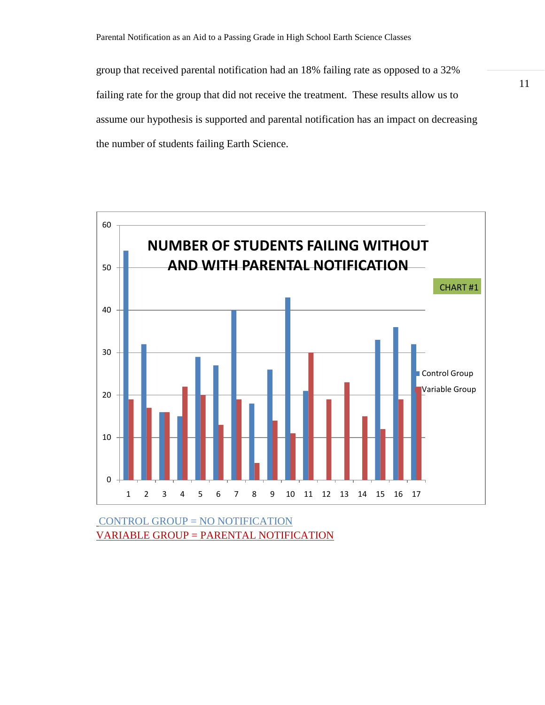group that received parental notification had an 18% failing rate as opposed to a 32% failing rate for the group that did not receive the treatment. These results allow us to assume our hypothesis is supported and parental notification has an impact on decreasing the number of students failing Earth Science.



CONTROL GROUP = NO NOTIFICATION VARIABLE GROUP = PARENTAL NOTIFICATION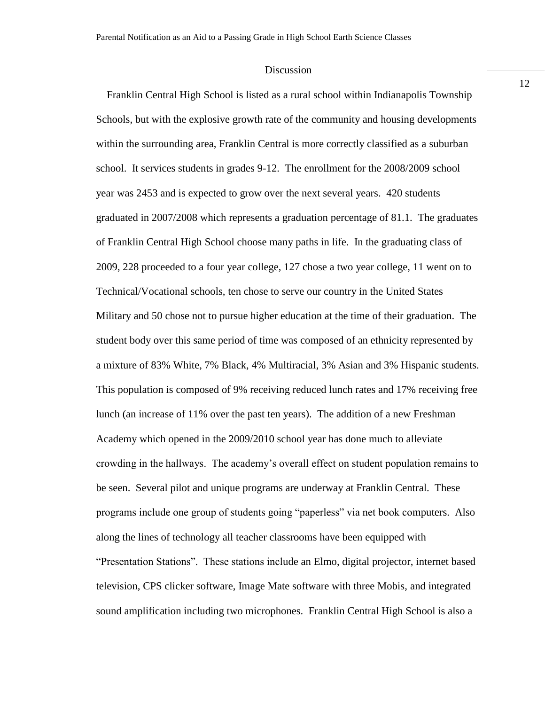#### **Discussion**

 Franklin Central High School is listed as a rural school within Indianapolis Township Schools, but with the explosive growth rate of the community and housing developments within the surrounding area, Franklin Central is more correctly classified as a suburban school. It services students in grades 9-12. The enrollment for the 2008/2009 school year was 2453 and is expected to grow over the next several years. 420 students graduated in 2007/2008 which represents a graduation percentage of 81.1. The graduates of Franklin Central High School choose many paths in life. In the graduating class of 2009, 228 proceeded to a four year college, 127 chose a two year college, 11 went on to Technical/Vocational schools, ten chose to serve our country in the United States Military and 50 chose not to pursue higher education at the time of their graduation. The student body over this same period of time was composed of an ethnicity represented by a mixture of 83% White, 7% Black, 4% Multiracial, 3% Asian and 3% Hispanic students. This population is composed of 9% receiving reduced lunch rates and 17% receiving free lunch (an increase of 11% over the past ten years). The addition of a new Freshman Academy which opened in the 2009/2010 school year has done much to alleviate crowding in the hallways. The academy's overall effect on student population remains to be seen. Several pilot and unique programs are underway at Franklin Central. These programs include one group of students going "paperless" via net book computers. Also along the lines of technology all teacher classrooms have been equipped with "Presentation Stations". These stations include an Elmo, digital projector, internet based television, CPS clicker software, Image Mate software with three Mobis, and integrated sound amplification including two microphones. Franklin Central High School is also a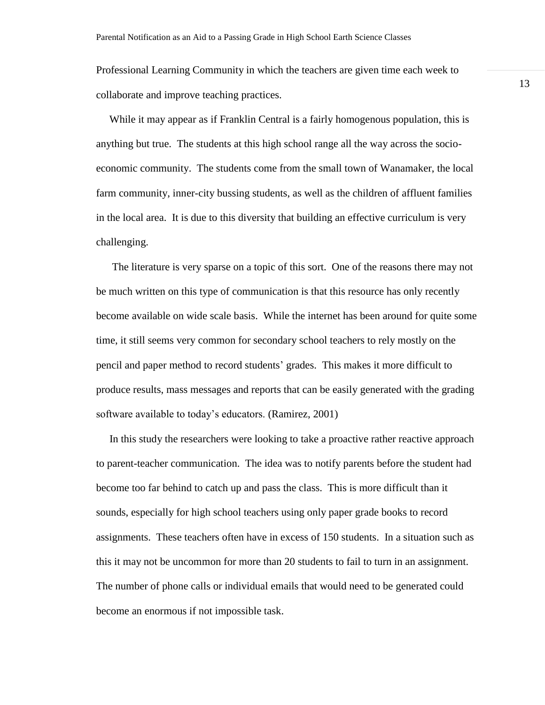Professional Learning Community in which the teachers are given time each week to collaborate and improve teaching practices.

 While it may appear as if Franklin Central is a fairly homogenous population, this is anything but true. The students at this high school range all the way across the socioeconomic community. The students come from the small town of Wanamaker, the local farm community, inner-city bussing students, as well as the children of affluent families in the local area. It is due to this diversity that building an effective curriculum is very challenging.

 The literature is very sparse on a topic of this sort. One of the reasons there may not be much written on this type of communication is that this resource has only recently become available on wide scale basis. While the internet has been around for quite some time, it still seems very common for secondary school teachers to rely mostly on the pencil and paper method to record students' grades. This makes it more difficult to produce results, mass messages and reports that can be easily generated with the grading software available to today's educators. (Ramirez, 2001)

 In this study the researchers were looking to take a proactive rather reactive approach to parent-teacher communication. The idea was to notify parents before the student had become too far behind to catch up and pass the class. This is more difficult than it sounds, especially for high school teachers using only paper grade books to record assignments. These teachers often have in excess of 150 students. In a situation such as this it may not be uncommon for more than 20 students to fail to turn in an assignment. The number of phone calls or individual emails that would need to be generated could become an enormous if not impossible task.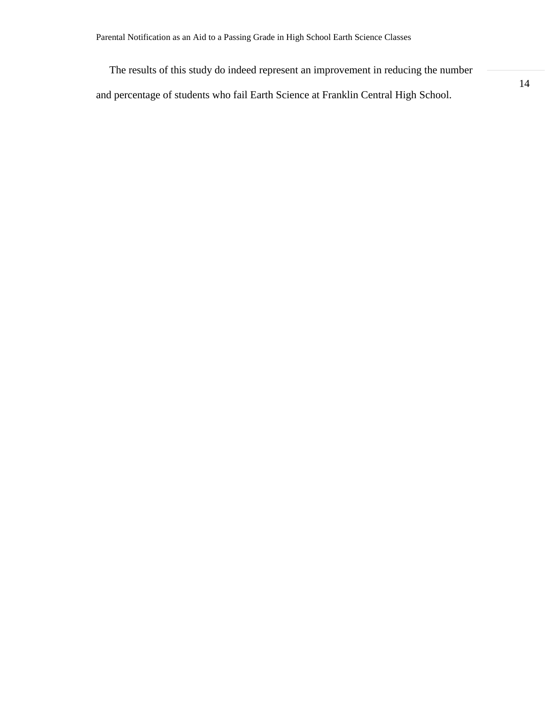The results of this study do indeed represent an improvement in reducing the number and percentage of students who fail Earth Science at Franklin Central High School.